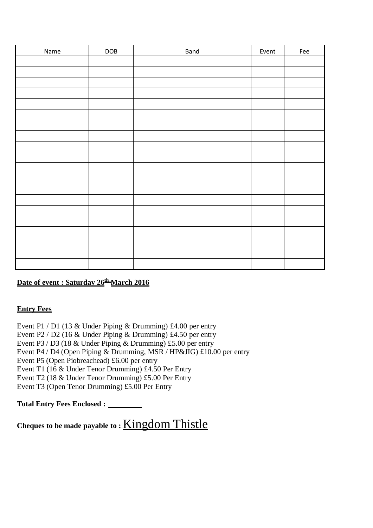| Name | $\sf{DOB}$ | Band | Event | Fee |
|------|------------|------|-------|-----|
|      |            |      |       |     |
|      |            |      |       |     |
|      |            |      |       |     |
|      |            |      |       |     |
|      |            |      |       |     |
|      |            |      |       |     |
|      |            |      |       |     |
|      |            |      |       |     |
|      |            |      |       |     |
|      |            |      |       |     |
|      |            |      |       |     |
|      |            |      |       |     |
|      |            |      |       |     |
|      |            |      |       |     |
|      |            |      |       |     |
|      |            |      |       |     |
|      |            |      |       |     |
|      |            |      |       |     |
|      |            |      |       |     |
|      |            |      |       |     |

### Date of event : Saturday 26<sup>th</sup> March 2016

#### **Entry Fees**

Event P1 / D1 (13 & Under Piping & Drumming) £4.00 per entry Event P $2 / D2$  (16 & Under Piping & Drumming) £4.50 per entry Event P $3 / D3$  (18 & Under Piping & Drumming) £5.00 per entry Event P4 / D4 (Open Piping & Drumming, MSR / HP&JIG) £10.00 per entry Event P5 (Open Piobreachead) £6.00 per entry Event T1 (16 & Under Tenor Drumming) £4.50 Per Entry Event T2 (18 & Under Tenor Drumming) £5.00 Per Entry Event T3 (Open Tenor Drumming) £5.00 Per Entry

**Total Entry Fees Enclosed :** 

**Cheques to be made payable to :** Kingdom Thistle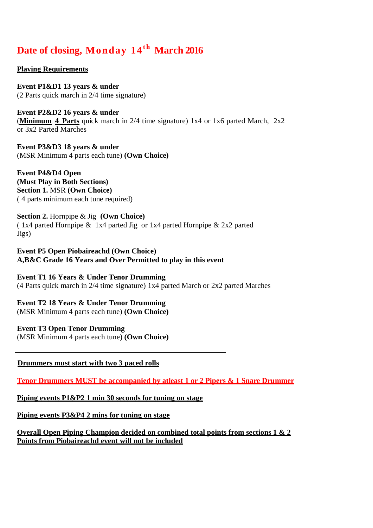## Date of closing, Monday 14<sup>th</sup> March 2016

**Playing Requirements**

**Event P1&D1 13 years & under** (2 Parts quick march in 2/4 time signature)

**Event P2&D2 16 years & under** (**Minimum 4 Parts** quick march in 2/4 time signature) 1x4 or 1x6 parted March, 2x2 or 3x2 Parted Marches

**Event P3&D3 18 years & under**  (MSR Minimum 4 parts each tune) **(Own Choice)**

**Event P4&D4 Open (Must Play in Both Sections) Section 1.** MSR **(Own Choice)**  ( 4 parts minimum each tune required)

**Section 2.** Hornpipe & Jig **(Own Choice)** ( 1x4 parted Hornpipe & 1x4 parted Jig or 1x4 parted Hornpipe & 2x2 parted Jigs)

**Event P5 Open Piobaireachd (Own Choice) A,B&C Grade 16 Years and Over Permitted to play in this event**

**Event T1 16 Years & Under Tenor Drumming** (4 Parts quick march in 2/4 time signature) 1x4 parted March or 2x2 parted Marches

**Event T2 18 Years & Under Tenor Drumming**  (MSR Minimum 4 parts each tune) **(Own Choice)** 

**Event T3 Open Tenor Drumming** 

(MSR Minimum 4 parts each tune) **(Own Choice)** 

 **Drummers must start with two 3 paced rolls**

**Tenor Drummers MUST be accompanied by atleast 1 or 2 Pipers & 1 Snare Drummer**

**Piping events P1&P2 1 min 30 seconds for tuning on stage**

**Piping events P3&P4 2 mins for tuning on stage**

**Overall Open Piping Champion decided on combined total points from sections 1 & 2 Points from Piobaireachd event will not be included**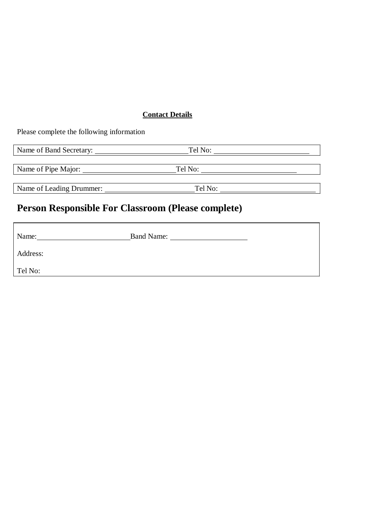### **Contact Details**

Please complete the following information

| Name of Band Secretary:  | Tel No: |  |
|--------------------------|---------|--|
| Name of Pipe Major:      | Tel No: |  |
| Name of Leading Drummer: | Tel No: |  |

# **Person Responsible For Classroom (Please complete)**

| Name:    | <b>Band Name:</b> |
|----------|-------------------|
| Address: |                   |
| Tel No:  |                   |